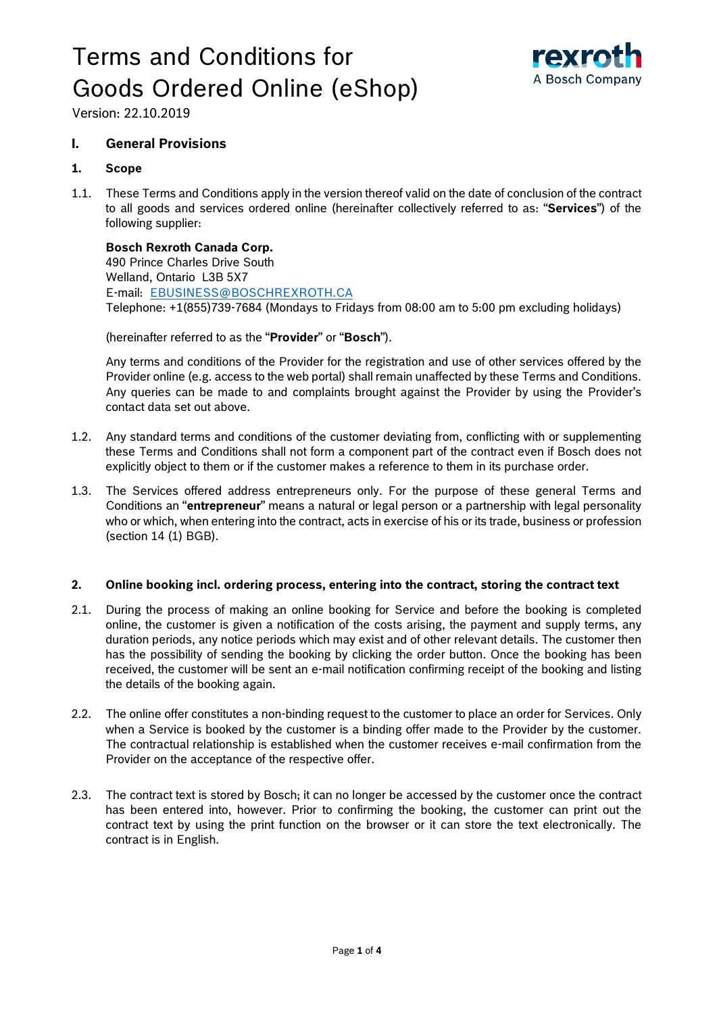# Terms and Conditions for Goods Ordered Online (eShop)



Version: 22.10.2019

# **I. General Provisions**

### **1. Scope**

1.1. These Terms and Conditions apply in the version thereof valid on the date of conclusion of the contract to all goods and services ordered online (hereinafter collectively referred to as: "**Services**") of the following supplier:

# **Bosch Rexroth Canada Corp.**

490 Prince Charles Drive South Welland, Ontario L3B 5X7 E-mail: [EBUSINESS@BOSCHREXROTH.CA](mailto:EBUSINESS@BOSCHREXROTH.CA) Telephone: +1(855)739-7684 (Mondays to Fridays from 08:00 am to 5:00 pm excluding holidays)

(hereinafter referred to as the "**Provider**" or "**Bosch**").

Any terms and conditions of the Provider for the registration and use of other services offered by the Provider online (e.g. access to the web portal) shall remain unaffected by these Terms and Conditions. Any queries can be made to and complaints brought against the Provider by using the Provider's contact data set out above.

- 1.2. Any standard terms and conditions of the customer deviating from, conflicting with or supplementing these Terms and Conditions shall not form a component part of the contract even if Bosch does not explicitly object to them or if the customer makes a reference to them in its purchase order.
- 1.3. The Services offered address entrepreneurs only. For the purpose of these general Terms and Conditions an "**entrepreneur**" means a natural or legal person or a partnership with legal personality who or which, when entering into the contract, acts in exercise of his or its trade, business or profession (section 14 (1) BGB).

#### **2. Online booking incl. ordering process, entering into the contract, storing the contract text**

- 2.1. During the process of making an online booking for Service and before the booking is completed online, the customer is given a notification of the costs arising, the payment and supply terms, any duration periods, any notice periods which may exist and of other relevant details. The customer then has the possibility of sending the booking by clicking the order button. Once the booking has been received, the customer will be sent an e-mail notification confirming receipt of the booking and listing the details of the booking again.
- 2.2. The online offer constitutes a non-binding request to the customer to place an order for Services. Only when a Service is booked by the customer is a binding offer made to the Provider by the customer. The contractual relationship is established when the customer receives e-mail confirmation from the Provider on the acceptance of the respective offer.
- 2.3. The contract text is stored by Bosch; it can no longer be accessed by the customer once the contract has been entered into, however. Prior to confirming the booking, the customer can print out the contract text by using the print function on the browser or it can store the text electronically. The contract is in English.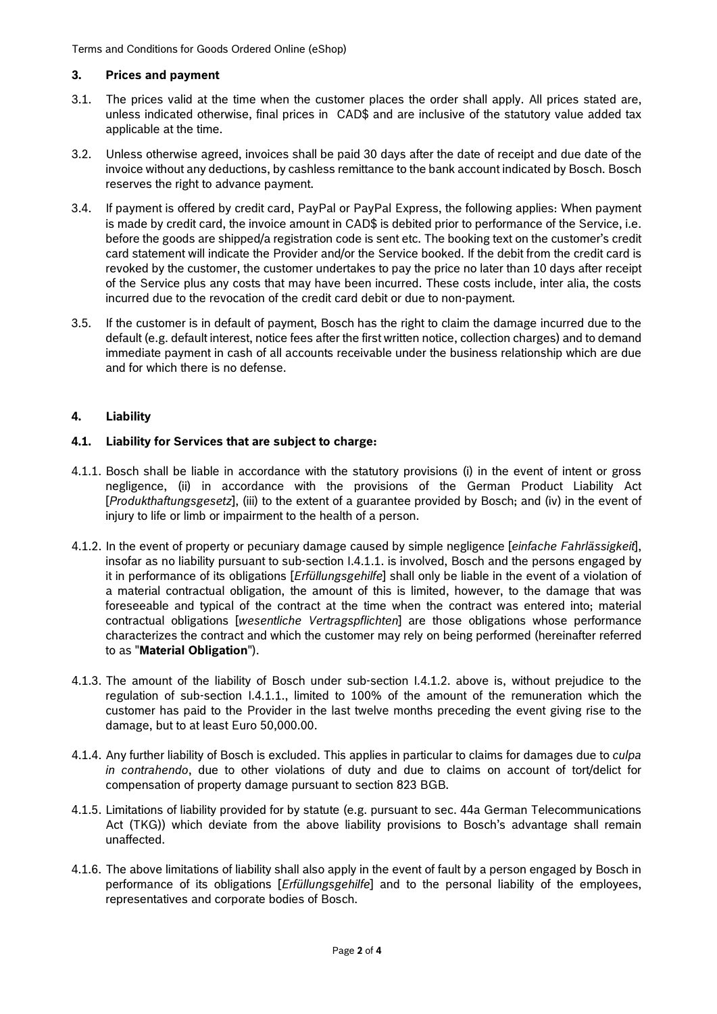Terms and Conditions for Goods Ordered Online (eShop)

### **3. Prices and payment**

- 3.1. The prices valid at the time when the customer places the order shall apply. All prices stated are, unless indicated otherwise, final prices in CAD\$ and are inclusive of the statutory value added tax applicable at the time.
- 3.2. Unless otherwise agreed, invoices shall be paid 30 days after the date of receipt and due date of the invoice without any deductions, by cashless remittance to the bank account indicated by Bosch. Bosch reserves the right to advance payment.
- 3.4. If payment is offered by credit card, PayPal or PayPal Express, the following applies: When payment is made by credit card, the invoice amount in CAD\$ is debited prior to performance of the Service, i.e. before the goods are shipped/a registration code is sent etc. The booking text on the customer's credit card statement will indicate the Provider and/or the Service booked. If the debit from the credit card is revoked by the customer, the customer undertakes to pay the price no later than 10 days after receipt of the Service plus any costs that may have been incurred. These costs include, inter alia, the costs incurred due to the revocation of the credit card debit or due to non-payment.
- 3.5. If the customer is in default of payment, Bosch has the right to claim the damage incurred due to the default (e.g. default interest, notice fees after the first written notice, collection charges) and to demand immediate payment in cash of all accounts receivable under the business relationship which are due and for which there is no defense.

# **4. Liability**

# **4.1. Liability for Services that are subject to charge:**

- 4.1.1. Bosch shall be liable in accordance with the statutory provisions (i) in the event of intent or gross negligence, (ii) in accordance with the provisions of the German Product Liability Act [*Produkthaftungsgesetz*], (iii) to the extent of a guarantee provided by Bosch; and (iv) in the event of injury to life or limb or impairment to the health of a person.
- 4.1.2. In the event of property or pecuniary damage caused by simple negligence [*einfache Fahrlässigkeit*], insofar as no liability pursuant to sub-section I.4.1.1. is involved, Bosch and the persons engaged by it in performance of its obligations [*Erfüllungsgehilfe*] shall only be liable in the event of a violation of a material contractual obligation, the amount of this is limited, however, to the damage that was foreseeable and typical of the contract at the time when the contract was entered into; material contractual obligations [*wesentliche Vertragspflichten*] are those obligations whose performance characterizes the contract and which the customer may rely on being performed (hereinafter referred to as "**Material Obligation**").
- 4.1.3. The amount of the liability of Bosch under sub-section I.4.1.2. above is, without prejudice to the regulation of sub-section I.4.1.1., limited to 100% of the amount of the remuneration which the customer has paid to the Provider in the last twelve months preceding the event giving rise to the damage, but to at least Euro 50,000.00.
- 4.1.4. Any further liability of Bosch is excluded. This applies in particular to claims for damages due to *culpa in contrahendo*, due to other violations of duty and due to claims on account of tort/delict for compensation of property damage pursuant to section 823 BGB.
- 4.1.5. Limitations of liability provided for by statute (e.g. pursuant to sec. 44a German Telecommunications Act (TKG)) which deviate from the above liability provisions to Bosch's advantage shall remain unaffected.
- 4.1.6. The above limitations of liability shall also apply in the event of fault by a person engaged by Bosch in performance of its obligations [*Erfüllungsgehilfe*] and to the personal liability of the employees, representatives and corporate bodies of Bosch.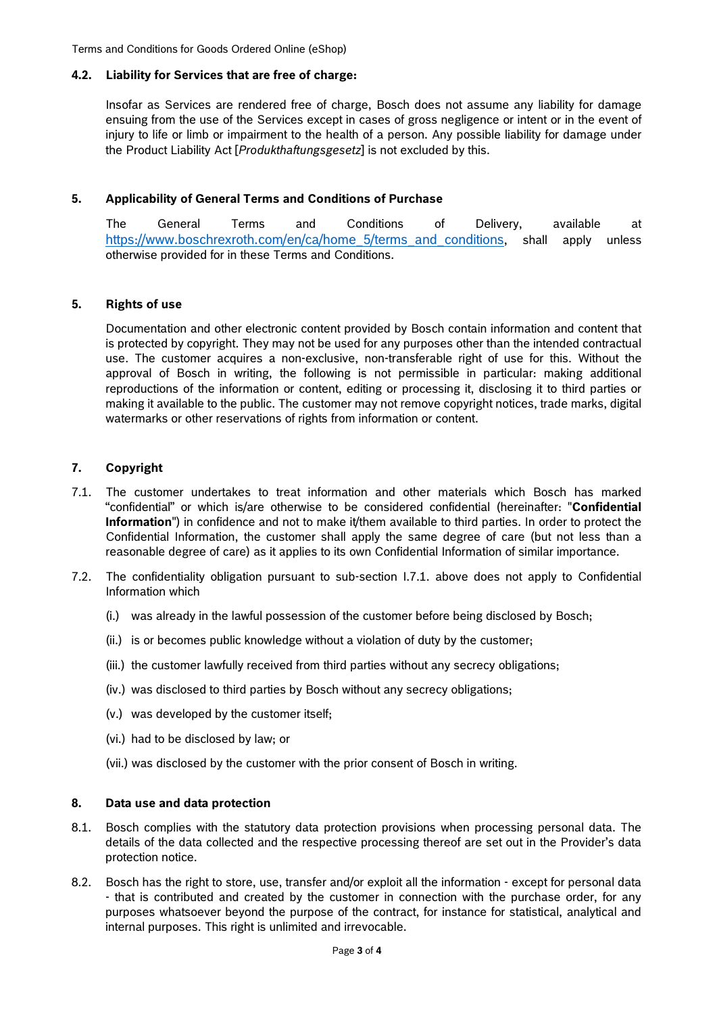Terms and Conditions for Goods Ordered Online (eShop)

#### **4.2. Liability for Services that are free of charge:**

Insofar as Services are rendered free of charge, Bosch does not assume any liability for damage ensuing from the use of the Services except in cases of gross negligence or intent or in the event of injury to life or limb or impairment to the health of a person. Any possible liability for damage under the Product Liability Act [*Produkthaftungsgesetz*] is not excluded by this.

# **5. Applicability of General Terms and Conditions of Purchase**

The General Terms and Conditions of Delivery, available at [https://www.boschrexroth.com/en/ca/home\\_5/terms\\_and\\_conditions,](https://www.boschrexroth.com/en/ca/home_5/terms_and_conditions) shall apply unless otherwise provided for in these Terms and Conditions.

# **5. Rights of use**

Documentation and other electronic content provided by Bosch contain information and content that is protected by copyright. They may not be used for any purposes other than the intended contractual use. The customer acquires a non-exclusive, non-transferable right of use for this. Without the approval of Bosch in writing, the following is not permissible in particular: making additional reproductions of the information or content, editing or processing it, disclosing it to third parties or making it available to the public. The customer may not remove copyright notices, trade marks, digital watermarks or other reservations of rights from information or content.

# **7. Copyright**

- 7.1. The customer undertakes to treat information and other materials which Bosch has marked "confidential" or which is/are otherwise to be considered confidential (hereinafter: "**Confidential Information**") in confidence and not to make it/them available to third parties. In order to protect the Confidential Information, the customer shall apply the same degree of care (but not less than a reasonable degree of care) as it applies to its own Confidential Information of similar importance.
- 7.2. The confidentiality obligation pursuant to sub-section I.7.1. above does not apply to Confidential Information which
	- (i.) was already in the lawful possession of the customer before being disclosed by Bosch;
	- (ii.) is or becomes public knowledge without a violation of duty by the customer;
	- (iii.) the customer lawfully received from third parties without any secrecy obligations;
	- (iv.) was disclosed to third parties by Bosch without any secrecy obligations;
	- (v.) was developed by the customer itself;
	- (vi.) had to be disclosed by law; or
	- (vii.) was disclosed by the customer with the prior consent of Bosch in writing.

#### **8. Data use and data protection**

- 8.1. Bosch complies with the statutory data protection provisions when processing personal data. The details of the data collected and the respective processing thereof are set out in the Provider's data protection notice.
- 8.2. Bosch has the right to store, use, transfer and/or exploit all the information except for personal data - that is contributed and created by the customer in connection with the purchase order, for any purposes whatsoever beyond the purpose of the contract, for instance for statistical, analytical and internal purposes. This right is unlimited and irrevocable.